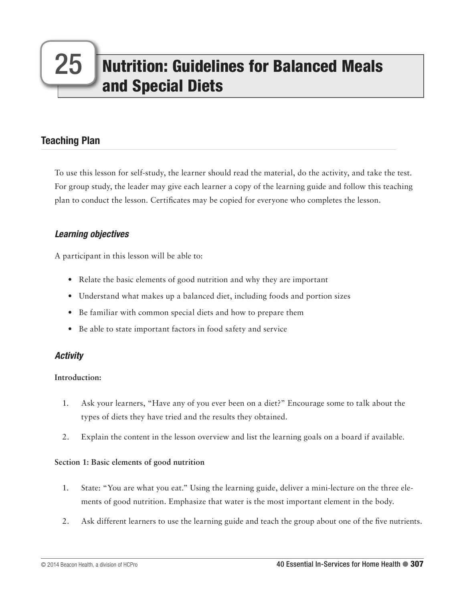# 25 Nutrition: Guidelines for Balanced Meals and Special Diets

# Teaching Plan

To use this lesson for self-study, the learner should read the material, do the activity, and take the test. For group study, the leader may give each learner a copy of the learning guide and follow this teaching plan to conduct the lesson. Certificates may be copied for everyone who completes the lesson.

# *Learning objectives*

A participant in this lesson will be able to:

- Relate the basic elements of good nutrition and why they are important
- Understand what makes up a balanced diet, including foods and portion sizes
- Be familiar with common special diets and how to prepare them
- Be able to state important factors in food safety and service

#### *Activity*

#### **Introduction:**

- 1. Ask your learners, "Have any of you ever been on a diet?" Encourage some to talk about the types of diets they have tried and the results they obtained.
- 2. Explain the content in the lesson overview and list the learning goals on a board if available.

#### **Section 1: Basic elements of good nutrition**

- 1. State: "You are what you eat." Using the learning guide, deliver a mini-lecture on the three elements of good nutrition. Emphasize that water is the most important element in the body.
- 2. Ask different learners to use the learning guide and teach the group about one of the five nutrients.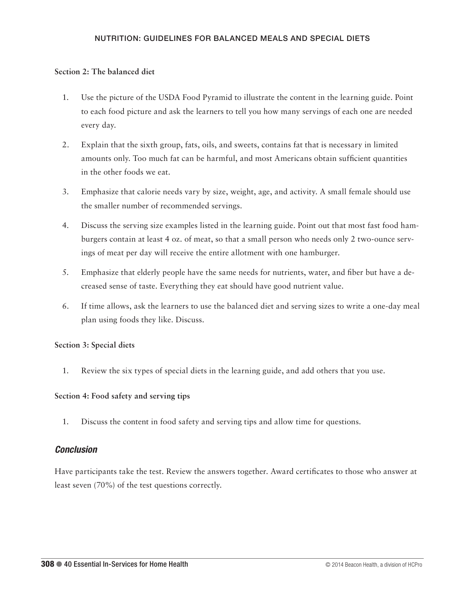#### **Section 2: The balanced diet**

- 1. Use the picture of the USDA Food Pyramid to illustrate the content in the learning guide. Point to each food picture and ask the learners to tell you how many servings of each one are needed every day.
- 2. Explain that the sixth group, fats, oils, and sweets, contains fat that is necessary in limited amounts only. Too much fat can be harmful, and most Americans obtain sufficient quantities in the other foods we eat.
- 3. Emphasize that calorie needs vary by size, weight, age, and activity. A small female should use the smaller number of recommended servings.
- 4. Discuss the serving size examples listed in the learning guide. Point out that most fast food hamburgers contain at least 4 oz. of meat, so that a small person who needs only 2 two-ounce servings of meat per day will receive the entire allotment with one hamburger.
- 5. Emphasize that elderly people have the same needs for nutrients, water, and fiber but have a decreased sense of taste. Everything they eat should have good nutrient value.
- 6. If time allows, ask the learners to use the balanced diet and serving sizes to write a one-day meal plan using foods they like. Discuss.

#### **Section 3: Special diets**

1. Review the six types of special diets in the learning guide, and add others that you use.

#### **Section 4: Food safety and serving tips**

1. Discuss the content in food safety and serving tips and allow time for questions.

#### *Conclusion*

Have participants take the test. Review the answers together. Award certificates to those who answer at least seven (70%) of the test questions correctly.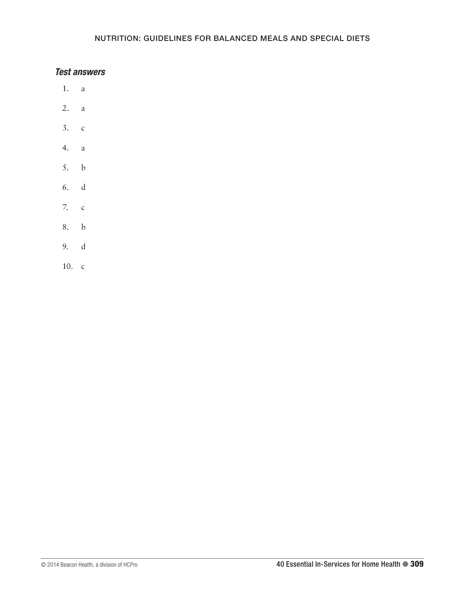## *Test answers*

- 1. a
- 2. a
- 3. c
- 4. a
- 5. b
- 6. d
- 7. c
- 8. b
- 9. d
- 10. c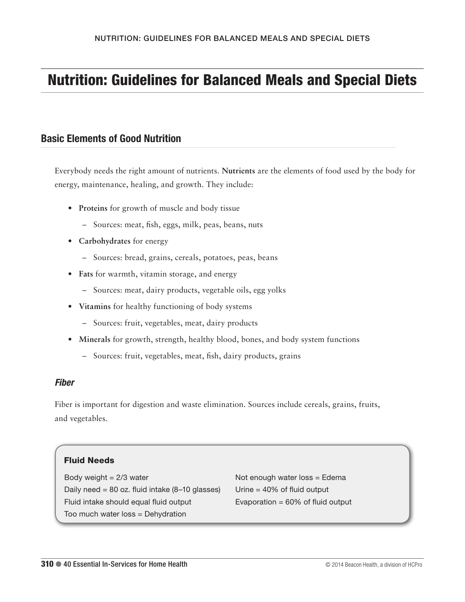# Nutrition: Guidelines for Balanced Meals and Special Diets

# Basic Elements of Good Nutrition

Everybody needs the right amount of nutrients. **Nutrients** are the elements of food used by the body for energy, maintenance, healing, and growth. They include:

- **• Proteins** for growth of muscle and body tissue
	- Sources: meat, fish, eggs, milk, peas, beans, nuts
- **• Carbohydrates** for energy
	- Sources: bread, grains, cereals, potatoes, peas, beans
- **• Fats** for warmth, vitamin storage, and energy
	- Sources: meat, dairy products, vegetable oils, egg yolks
- **• Vitamins** for healthy functioning of body systems
	- Sources: fruit, vegetables, meat, dairy products
- **• Minerals** for growth, strength, healthy blood, bones, and body system functions
	- Sources: fruit, vegetables, meat, fish, dairy products, grains

#### *Fiber*

Fiber is important for digestion and waste elimination. Sources include cereals, grains, fruits, and vegetables.

#### Fluid Needs

Body weight  $= 2/3$  water Daily need =  $80$  oz. fluid intake  $(8-10)$  glasses) Fluid intake should equal fluid output Too much water loss = Dehydration

Not enough water loss = Edema Urine = 40% of fluid output Evaporation  $= 60\%$  of fluid output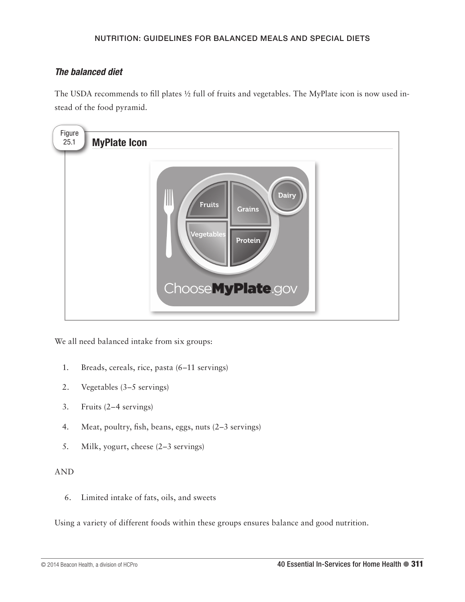# *The balanced diet*

The USDA recommends to fill plates ½ full of fruits and vegetables. The MyPlate icon is now used instead of the food pyramid.



We all need balanced intake from six groups:

- 1. Breads, cereals, rice, pasta (6–11 servings)
- 2. Vegetables (3–5 servings)
- 3. Fruits (2–4 servings)
- 4. Meat, poultry, fish, beans, eggs, nuts (2–3 servings)
- 5. Milk, yogurt, cheese (2–3 servings)

#### AND

6. Limited intake of fats, oils, and sweets

Using a variety of different foods within these groups ensures balance and good nutrition.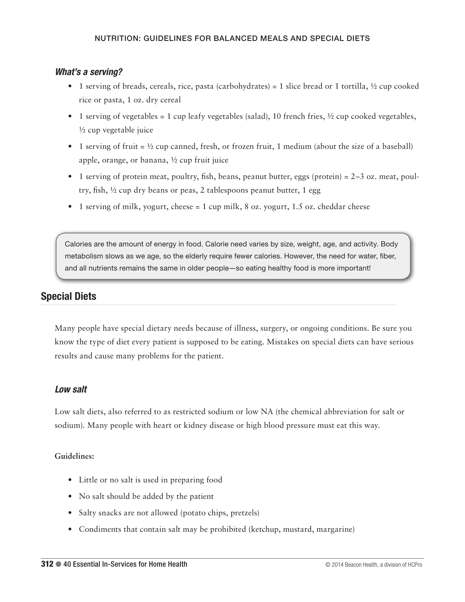#### *What's a serving?*

- 1 serving of breads, cereals, rice, pasta (carbohydrates) = 1 slice bread or 1 tortilla,  $\frac{1}{2}$  cup cooked rice or pasta, 1 oz. dry cereal
- 1 serving of vegetables = 1 cup leafy vegetables (salad), 10 french fries,  $\frac{1}{2}$  cup cooked vegetables, ½ cup vegetable juice
- 1 serving of fruit  $= \frac{1}{2}$  cup canned, fresh, or frozen fruit, 1 medium (about the size of a baseball) apple, orange, or banana, ½ cup fruit juice
- 1 serving of protein meat, poultry, fish, beans, peanut butter, eggs (protein) =  $2-3$  oz. meat, poultry, fish, ½ cup dry beans or peas, 2 tablespoons peanut butter, 1 egg
- 1 serving of milk, yogurt, cheese  $= 1$  cup milk, 8 oz. yogurt, 1.5 oz. cheddar cheese

Calories are the amount of energy in food. Calorie need varies by size, weight, age, and activity. Body metabolism slows as we age, so the elderly require fewer calories. However, the need for water, fiber, and all nutrients remains the same in older people—so eating healthy food is more important!

# Special Diets

Many people have special dietary needs because of illness, surgery, or ongoing conditions. Be sure you know the type of diet every patient is supposed to be eating. Mistakes on special diets can have serious results and cause many problems for the patient.

#### *Low salt*

Low salt diets, also referred to as restricted sodium or low NA (the chemical abbreviation for salt or sodium). Many people with heart or kidney disease or high blood pressure must eat this way.

#### **Guidelines:**

- Little or no salt is used in preparing food
- No salt should be added by the patient
- Salty snacks are not allowed (potato chips, pretzels)
- Condiments that contain salt may be prohibited (ketchup, mustard, margarine)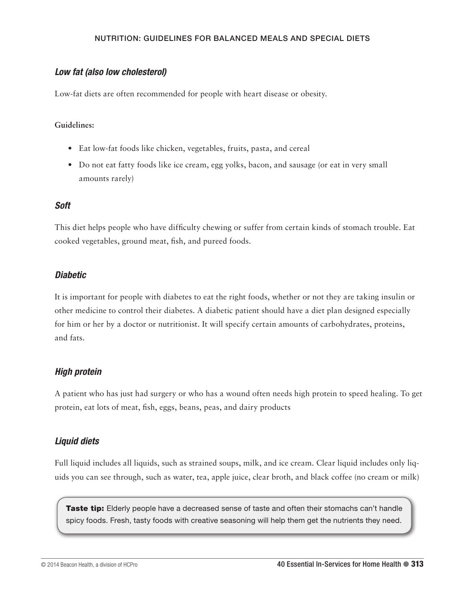#### *Low fat (also low cholesterol)*

Low-fat diets are often recommended for people with heart disease or obesity.

#### **Guidelines:**

- Eat low-fat foods like chicken, vegetables, fruits, pasta, and cereal
- Do not eat fatty foods like ice cream, egg yolks, bacon, and sausage (or eat in very small amounts rarely)

#### *Soft*

This diet helps people who have difficulty chewing or suffer from certain kinds of stomach trouble. Eat cooked vegetables, ground meat, fish, and pureed foods.

#### *Diabetic*

It is important for people with diabetes to eat the right foods, whether or not they are taking insulin or other medicine to control their diabetes. A diabetic patient should have a diet plan designed especially for him or her by a doctor or nutritionist. It will specify certain amounts of carbohydrates, proteins, and fats.

#### *High protein*

A patient who has just had surgery or who has a wound often needs high protein to speed healing. To get protein, eat lots of meat, fish, eggs, beans, peas, and dairy products

#### *Liquid diets*

Full liquid includes all liquids, such as strained soups, milk, and ice cream. Clear liquid includes only liquids you can see through, such as water, tea, apple juice, clear broth, and black coffee (no cream or milk)

Taste tip: Elderly people have a decreased sense of taste and often their stomachs can't handle spicy foods. Fresh, tasty foods with creative seasoning will help them get the nutrients they need.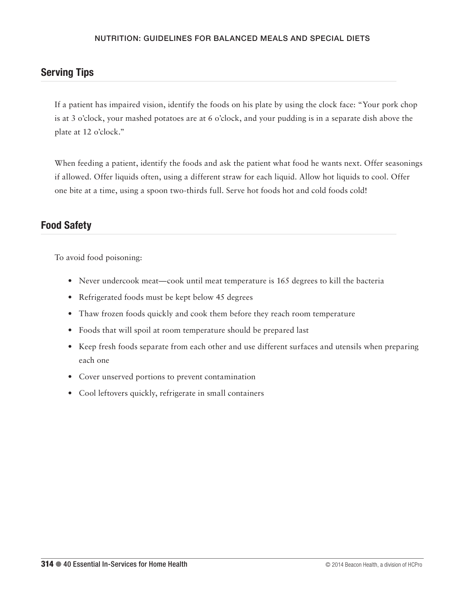# Serving Tips

If a patient has impaired vision, identify the foods on his plate by using the clock face: "Your pork chop is at 3 o'clock, your mashed potatoes are at 6 o'clock, and your pudding is in a separate dish above the plate at 12 o'clock."

When feeding a patient, identify the foods and ask the patient what food he wants next. Offer seasonings if allowed. Offer liquids often, using a different straw for each liquid. Allow hot liquids to cool. Offer one bite at a time, using a spoon two-thirds full. Serve hot foods hot and cold foods cold!

# Food Safety

To avoid food poisoning:

- Never undercook meat—cook until meat temperature is 165 degrees to kill the bacteria
- Refrigerated foods must be kept below 45 degrees
- Thaw frozen foods quickly and cook them before they reach room temperature
- Foods that will spoil at room temperature should be prepared last
- Keep fresh foods separate from each other and use different surfaces and utensils when preparing each one
- Cover unserved portions to prevent contamination
- Cool leftovers quickly, refrigerate in small containers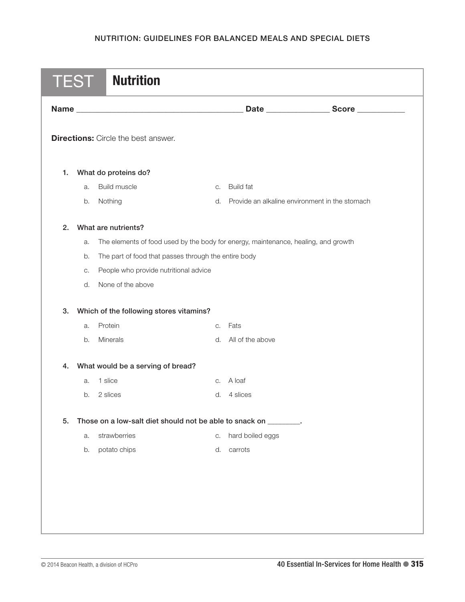|    | <b>TEST</b>                             | <b>Nutrition</b>                                                                   |    |                  |                                                   |  |  |
|----|-----------------------------------------|------------------------------------------------------------------------------------|----|------------------|---------------------------------------------------|--|--|
|    |                                         |                                                                                    |    |                  |                                                   |  |  |
|    |                                         | <b>Directions:</b> Circle the best answer.                                         |    |                  |                                                   |  |  |
| 1. |                                         | What do proteins do?                                                               |    |                  |                                                   |  |  |
|    | a.                                      | Build muscle                                                                       | C. | <b>Build fat</b> |                                                   |  |  |
|    | b.                                      | Nothing                                                                            |    |                  | d. Provide an alkaline environment in the stomach |  |  |
| 2. |                                         | What are nutrients?                                                                |    |                  |                                                   |  |  |
|    | a.                                      | The elements of food used by the body for energy, maintenance, healing, and growth |    |                  |                                                   |  |  |
|    | b.                                      | The part of food that passes through the entire body                               |    |                  |                                                   |  |  |
|    | C.                                      | People who provide nutritional advice                                              |    |                  |                                                   |  |  |
|    | d.                                      | None of the above                                                                  |    |                  |                                                   |  |  |
| 3. | Which of the following stores vitamins? |                                                                                    |    |                  |                                                   |  |  |
|    | a.                                      | Protein                                                                            | C. | Fats             |                                                   |  |  |
|    | b.                                      | Minerals                                                                           | d. | All of the above |                                                   |  |  |
| 4. |                                         | What would be a serving of bread?                                                  |    |                  |                                                   |  |  |
|    | a.                                      | 1 slice                                                                            | C. | A loaf           |                                                   |  |  |
|    | b.                                      | 2 slices                                                                           | d. | 4 slices         |                                                   |  |  |
| 5. |                                         | Those on a low-salt diet should not be able to snack on ________.                  |    |                  |                                                   |  |  |
|    | a.                                      | strawberries                                                                       | C. | hard boiled eggs |                                                   |  |  |
|    | b.                                      | potato chips                                                                       | d. | carrots          |                                                   |  |  |
|    |                                         |                                                                                    |    |                  |                                                   |  |  |
|    |                                         |                                                                                    |    |                  |                                                   |  |  |
|    |                                         |                                                                                    |    |                  |                                                   |  |  |
|    |                                         |                                                                                    |    |                  |                                                   |  |  |
|    |                                         |                                                                                    |    |                  |                                                   |  |  |